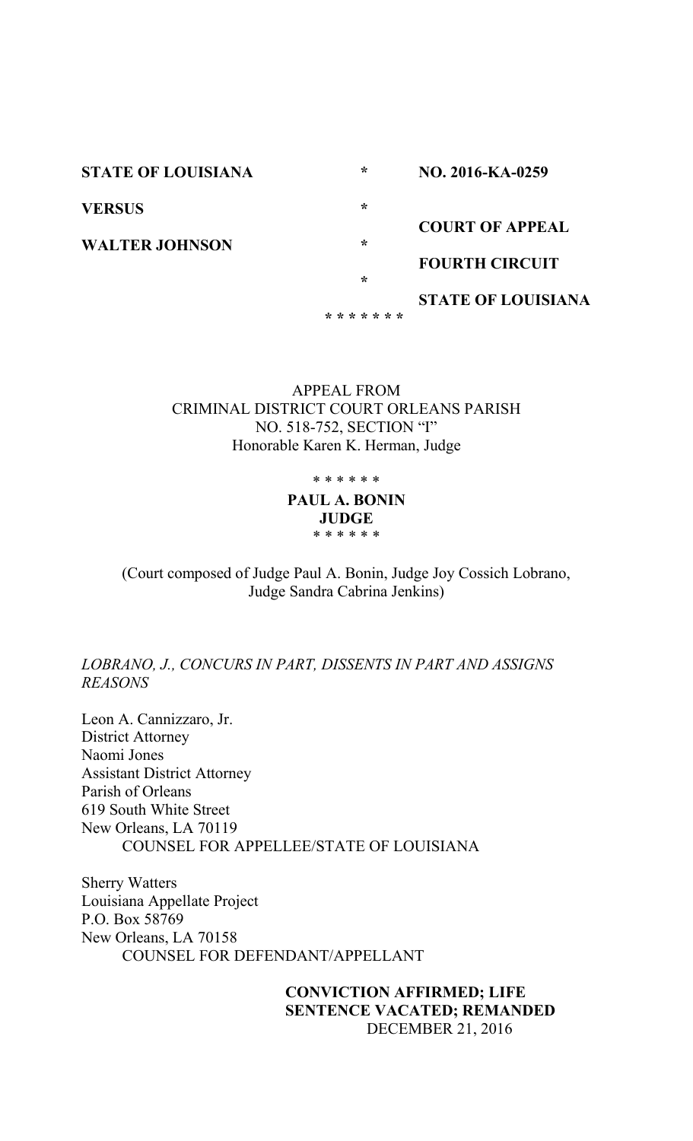**STATE OF LOUISIANA VERSUS WALTER JOHNSON \* \* \* \* \* \* \* \* \* \* \* NO. 2016-KA-0259 COURT OF APPEAL FOURTH CIRCUIT STATE OF LOUISIANA**

> APPEAL FROM CRIMINAL DISTRICT COURT ORLEANS PARISH NO. 518-752, SECTION "I" Honorable Karen K. Herman, Judge

> > \* \* \* \* \* \*

**PAUL A. BONIN JUDGE** \* \* \* \* \* \*

(Court composed of Judge Paul A. Bonin, Judge Joy Cossich Lobrano, Judge Sandra Cabrina Jenkins)

*LOBRANO, J., CONCURS IN PART, DISSENTS IN PART AND ASSIGNS REASONS*

Leon A. Cannizzaro, Jr. District Attorney Naomi Jones Assistant District Attorney Parish of Orleans 619 South White Street New Orleans, LA 70119 COUNSEL FOR APPELLEE/STATE OF LOUISIANA

Sherry Watters Louisiana Appellate Project P.O. Box 58769 New Orleans, LA 70158 COUNSEL FOR DEFENDANT/APPELLANT

> **CONVICTION AFFIRMED; LIFE SENTENCE VACATED; REMANDED** DECEMBER 21, 2016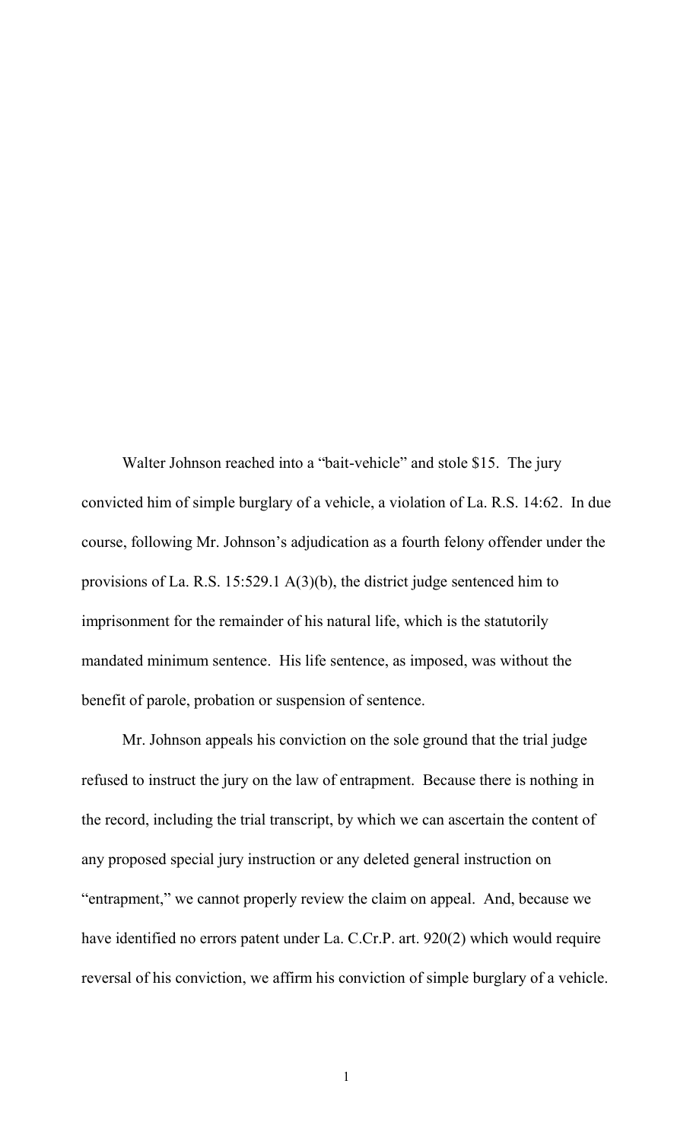Walter Johnson reached into a "bait-vehicle" and stole \$15. The jury convicted him of simple burglary of a vehicle, a violation of La. R.S. 14:62. In due course, following Mr. Johnson"s adjudication as a fourth felony offender under the provisions of La. R.S. 15:529.1 A(3)(b), the district judge sentenced him to imprisonment for the remainder of his natural life, which is the statutorily mandated minimum sentence. His life sentence, as imposed, was without the benefit of parole, probation or suspension of sentence.

Mr. Johnson appeals his conviction on the sole ground that the trial judge refused to instruct the jury on the law of entrapment. Because there is nothing in the record, including the trial transcript, by which we can ascertain the content of any proposed special jury instruction or any deleted general instruction on "entrapment," we cannot properly review the claim on appeal. And, because we have identified no errors patent under La. C.Cr.P. art. 920(2) which would require reversal of his conviction, we affirm his conviction of simple burglary of a vehicle.

1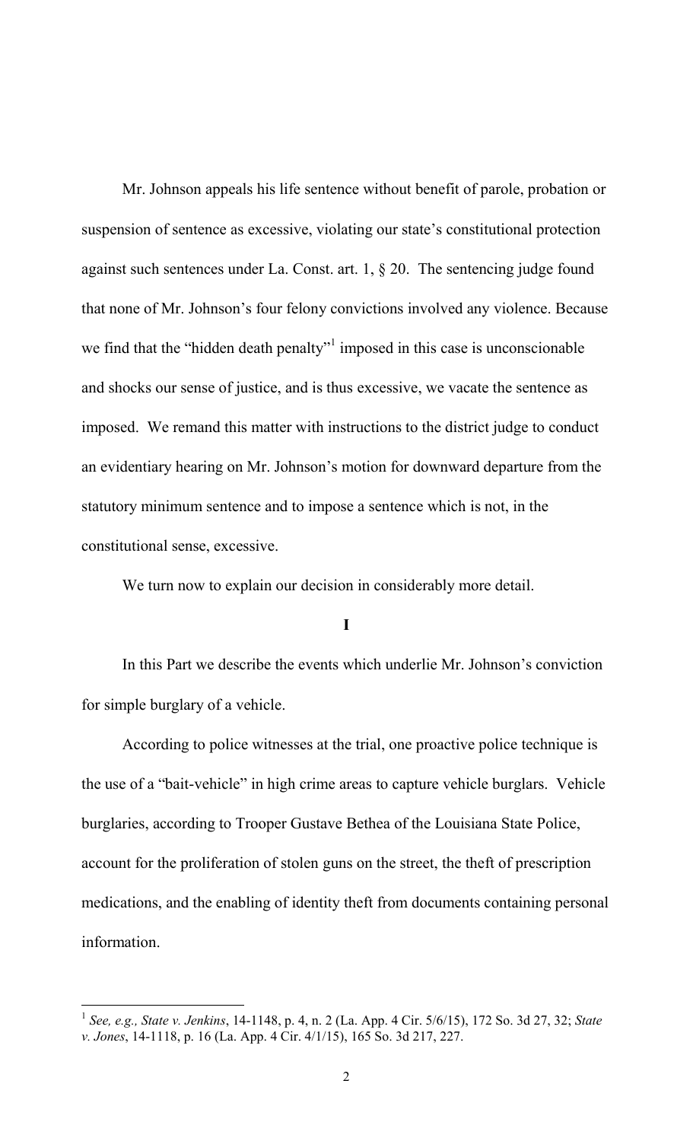Mr. Johnson appeals his life sentence without benefit of parole, probation or suspension of sentence as excessive, violating our state"s constitutional protection against such sentences under La. Const. art. 1, § 20. The sentencing judge found that none of Mr. Johnson"s four felony convictions involved any violence. Because we find that the "hidden death penalty" $\frac{1}{1}$  imposed in this case is unconscionable and shocks our sense of justice, and is thus excessive, we vacate the sentence as imposed. We remand this matter with instructions to the district judge to conduct an evidentiary hearing on Mr. Johnson"s motion for downward departure from the statutory minimum sentence and to impose a sentence which is not, in the constitutional sense, excessive.

We turn now to explain our decision in considerably more detail.

**I**

In this Part we describe the events which underlie Mr. Johnson"s conviction for simple burglary of a vehicle.

According to police witnesses at the trial, one proactive police technique is the use of a "bait-vehicle" in high crime areas to capture vehicle burglars. Vehicle burglaries, according to Trooper Gustave Bethea of the Louisiana State Police, account for the proliferation of stolen guns on the street, the theft of prescription medications, and the enabling of identity theft from documents containing personal information.

 1 *See, e.g., State v. Jenkins*, 14-1148, p. 4, n. 2 (La. App. 4 Cir. 5/6/15), 172 So. 3d 27, 32; *State v. Jones*, 14-1118, p. 16 (La. App. 4 Cir. 4/1/15), 165 So. 3d 217, 227.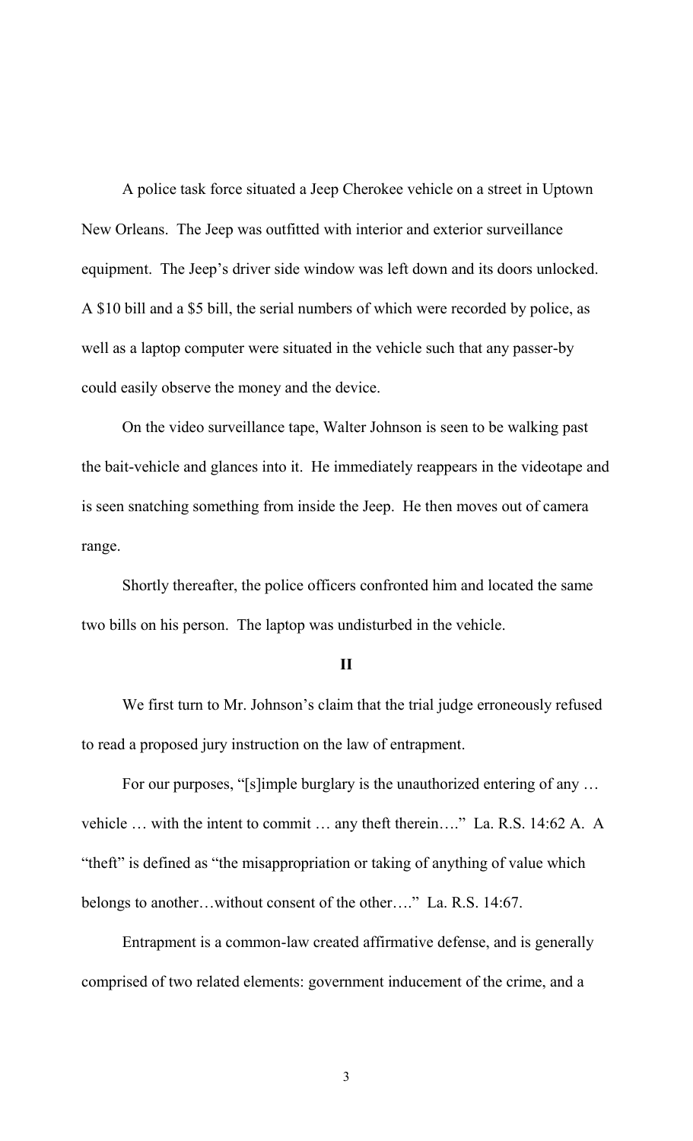A police task force situated a Jeep Cherokee vehicle on a street in Uptown New Orleans. The Jeep was outfitted with interior and exterior surveillance equipment. The Jeep's driver side window was left down and its doors unlocked. A \$10 bill and a \$5 bill, the serial numbers of which were recorded by police, as well as a laptop computer were situated in the vehicle such that any passer-by could easily observe the money and the device.

On the video surveillance tape, Walter Johnson is seen to be walking past the bait-vehicle and glances into it. He immediately reappears in the videotape and is seen snatching something from inside the Jeep. He then moves out of camera range.

Shortly thereafter, the police officers confronted him and located the same two bills on his person. The laptop was undisturbed in the vehicle.

### **II**

We first turn to Mr. Johnson's claim that the trial judge erroneously refused to read a proposed jury instruction on the law of entrapment.

For our purposes, "[s]imple burglary is the unauthorized entering of any … vehicle … with the intent to commit … any theft therein…." La. R.S. 14:62 A. A "theft" is defined as "the misappropriation or taking of anything of value which belongs to another…without consent of the other…." La. R.S. 14:67.

Entrapment is a common-law created affirmative defense, and is generally comprised of two related elements: government inducement of the crime, and a

3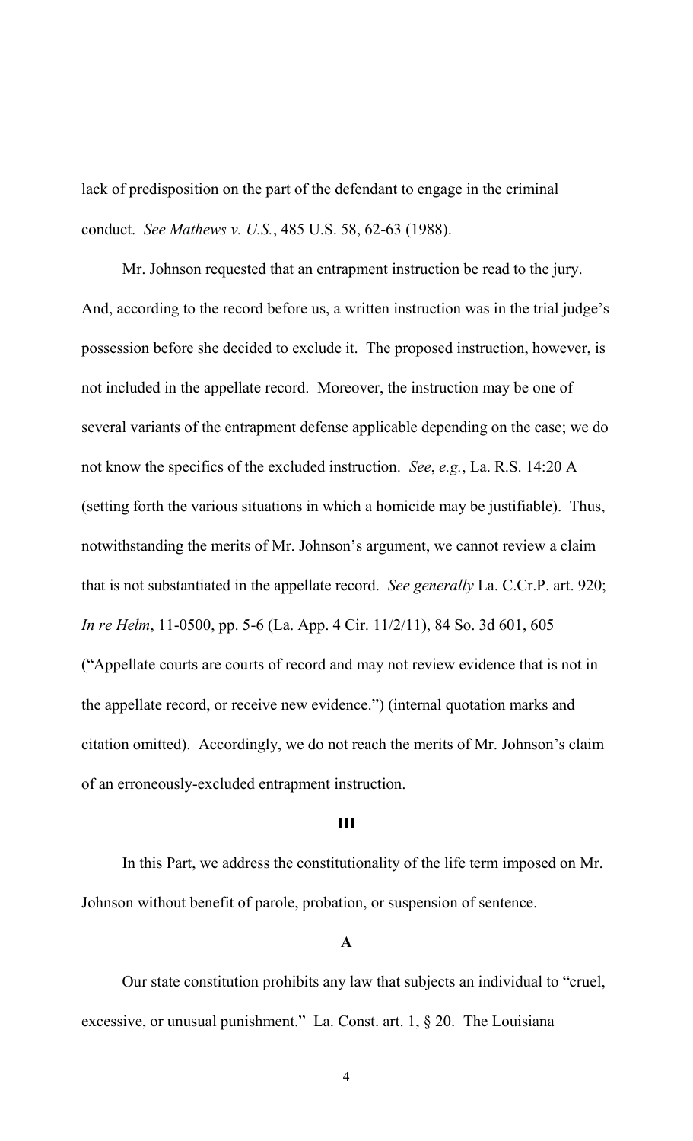lack of predisposition on the part of the defendant to engage in the criminal conduct. *See Mathews v. U.S.*, 485 U.S. 58, 62-63 (1988).

Mr. Johnson requested that an entrapment instruction be read to the jury. And, according to the record before us, a written instruction was in the trial judge's possession before she decided to exclude it. The proposed instruction, however, is not included in the appellate record. Moreover, the instruction may be one of several variants of the entrapment defense applicable depending on the case; we do not know the specifics of the excluded instruction. *See*, *e.g.*, La. R.S. 14:20 A (setting forth the various situations in which a homicide may be justifiable). Thus, notwithstanding the merits of Mr. Johnson"s argument, we cannot review a claim that is not substantiated in the appellate record. *See generally* La. C.Cr.P. art. 920; *In re Helm*, 11-0500, pp. 5-6 (La. App. 4 Cir. 11/2/11), 84 So. 3d 601, 605 ("Appellate courts are courts of record and may not review evidence that is not in the appellate record, or receive new evidence.") (internal quotation marks and citation omitted). Accordingly, we do not reach the merits of Mr. Johnson"s claim of an erroneously-excluded entrapment instruction.

#### **III**

In this Part, we address the constitutionality of the life term imposed on Mr. Johnson without benefit of parole, probation, or suspension of sentence.

#### **A**

Our state constitution prohibits any law that subjects an individual to "cruel, excessive, or unusual punishment." La. Const. art. 1, § 20. The Louisiana

4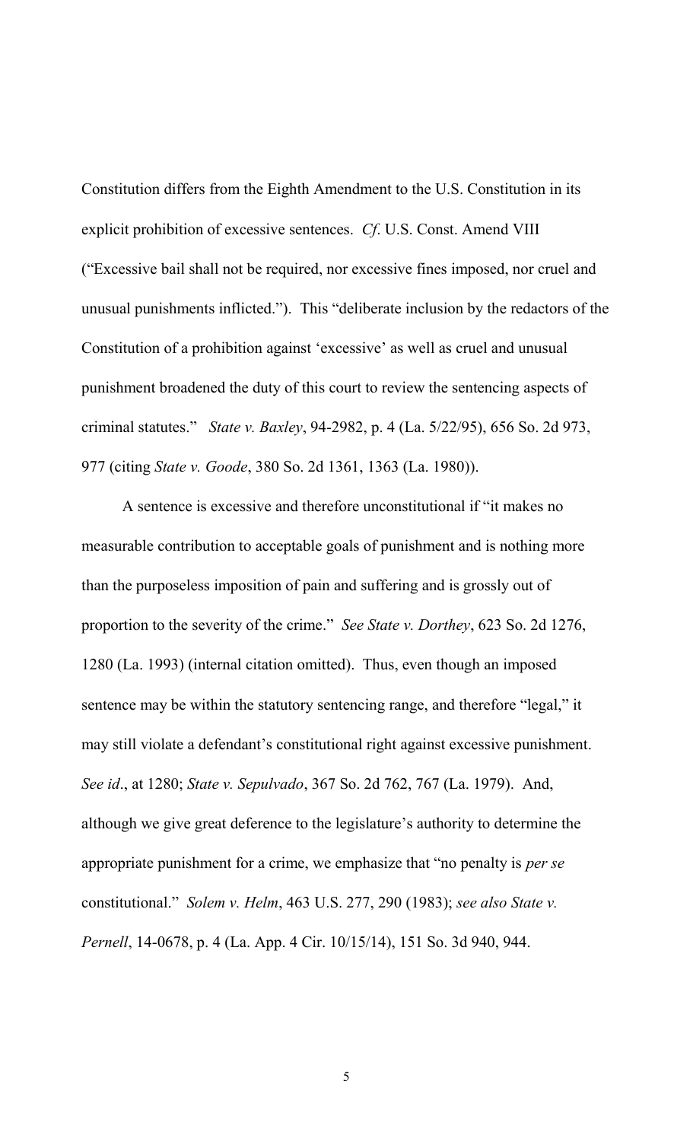Constitution differs from the Eighth Amendment to the U.S. Constitution in its explicit prohibition of excessive sentences. *Cf*. U.S. Const. Amend VIII ("Excessive bail shall not be required, nor excessive fines imposed, nor cruel and unusual punishments inflicted."). This "deliberate inclusion by the redactors of the Constitution of a prohibition against "excessive" as well as cruel and unusual punishment broadened the duty of this court to review the sentencing aspects of criminal statutes." *State v. Baxley*, 94-2982, p. 4 (La. 5/22/95), 656 So. 2d 973, 977 (citing *State v. Goode*, 380 So. 2d 1361, 1363 (La. 1980)).

A sentence is excessive and therefore unconstitutional if "it makes no measurable contribution to acceptable goals of punishment and is nothing more than the purposeless imposition of pain and suffering and is grossly out of proportion to the severity of the crime." *See State v. Dorthey*, 623 So. 2d 1276, 1280 (La. 1993) (internal citation omitted). Thus, even though an imposed sentence may be within the statutory sentencing range, and therefore "legal," it may still violate a defendant's constitutional right against excessive punishment. *See id*., at 1280; *State v. Sepulvado*, 367 So. 2d 762, 767 (La. 1979). And, although we give great deference to the legislature"s authority to determine the appropriate punishment for a crime, we emphasize that "no penalty is *per se* constitutional." *Solem v. Helm*, 463 U.S. 277, 290 (1983); *see also State v. Pernell*, 14-0678, p. 4 (La. App. 4 Cir. 10/15/14), 151 So. 3d 940, 944.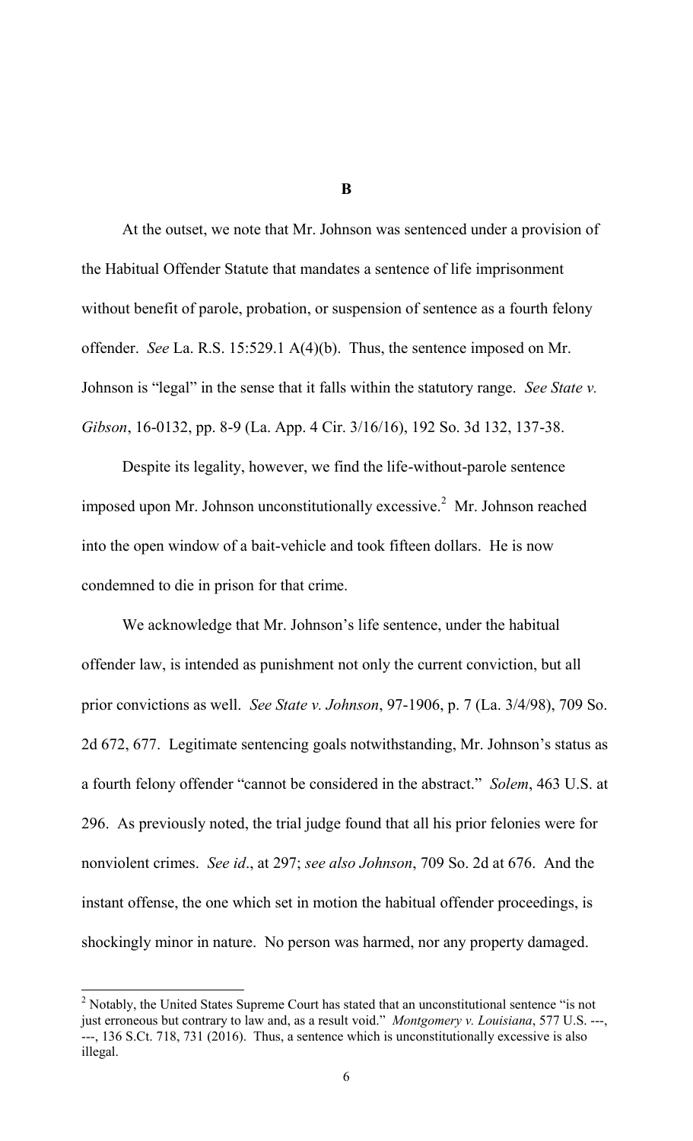At the outset, we note that Mr. Johnson was sentenced under a provision of the Habitual Offender Statute that mandates a sentence of life imprisonment without benefit of parole, probation, or suspension of sentence as a fourth felony offender. *See* La. R.S. 15:529.1 A(4)(b). Thus, the sentence imposed on Mr. Johnson is "legal" in the sense that it falls within the statutory range. *See State v. Gibson*, 16-0132, pp. 8-9 (La. App. 4 Cir. 3/16/16), 192 So. 3d 132, 137-38.

Despite its legality, however, we find the life-without-parole sentence imposed upon Mr. Johnson unconstitutionally excessive.<sup>2</sup> Mr. Johnson reached into the open window of a bait-vehicle and took fifteen dollars. He is now condemned to die in prison for that crime.

We acknowledge that Mr. Johnson's life sentence, under the habitual offender law, is intended as punishment not only the current conviction, but all prior convictions as well. *See State v. Johnson*, 97-1906, p. 7 (La. 3/4/98), 709 So. 2d 672, 677. Legitimate sentencing goals notwithstanding, Mr. Johnson"s status as a fourth felony offender "cannot be considered in the abstract." *Solem*, 463 U.S. at 296. As previously noted, the trial judge found that all his prior felonies were for nonviolent crimes. *See id*., at 297; *see also Johnson*, 709 So. 2d at 676. And the instant offense, the one which set in motion the habitual offender proceedings, is shockingly minor in nature. No person was harmed, nor any property damaged.

l

**B**

 $2^2$  Notably, the United States Supreme Court has stated that an unconstitutional sentence "is not just erroneous but contrary to law and, as a result void." *Montgomery v. Louisiana*, 577 U.S. ---, ---, 136 S.Ct. 718, 731 (2016). Thus, a sentence which is unconstitutionally excessive is also illegal.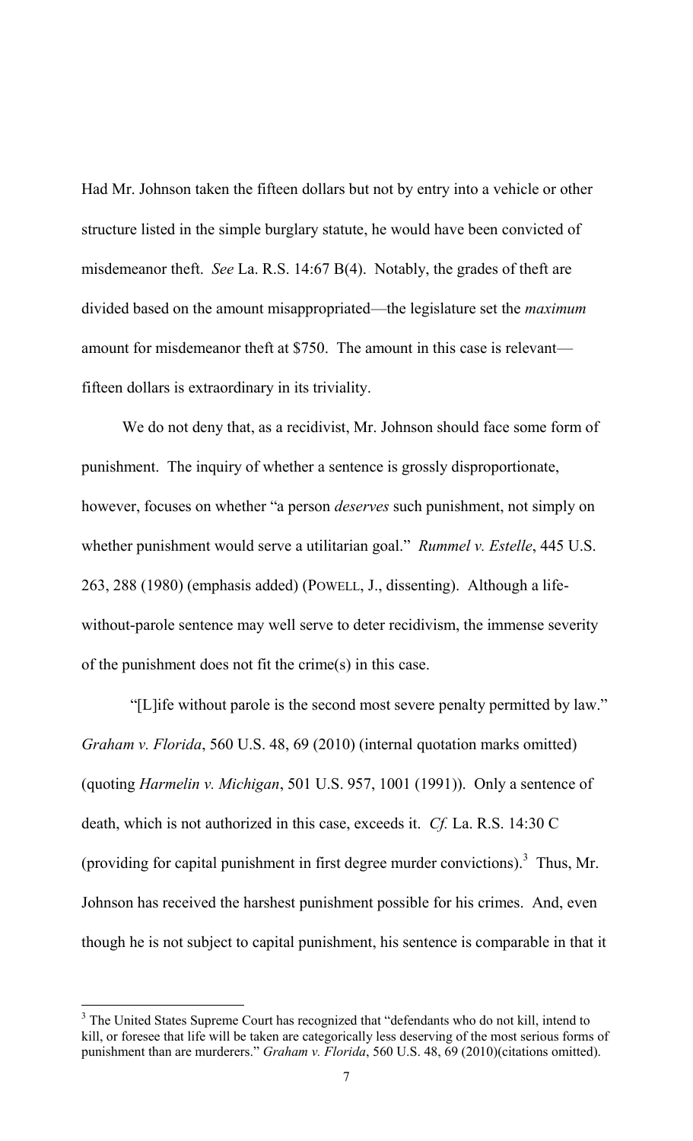Had Mr. Johnson taken the fifteen dollars but not by entry into a vehicle or other structure listed in the simple burglary statute, he would have been convicted of misdemeanor theft. *See* La. R.S. 14:67 B(4). Notably, the grades of theft are divided based on the amount misappropriated—the legislature set the *maximum* amount for misdemeanor theft at \$750. The amount in this case is relevant fifteen dollars is extraordinary in its triviality.

We do not deny that, as a recidivist, Mr. Johnson should face some form of punishment. The inquiry of whether a sentence is grossly disproportionate, however, focuses on whether "a person *deserves* such punishment, not simply on whether punishment would serve a utilitarian goal." *Rummel v. Estelle*, 445 U.S. 263, 288 (1980) (emphasis added) (POWELL, J., dissenting). Although a lifewithout-parole sentence may well serve to deter recidivism, the immense severity of the punishment does not fit the crime(s) in this case.

 "[L]ife without parole is the second most severe penalty permitted by law." *Graham v. Florida*, 560 U.S. 48, 69 (2010) (internal quotation marks omitted) (quoting *Harmelin v. Michigan*, 501 U.S. 957, 1001 (1991)). Only a sentence of death, which is not authorized in this case, exceeds it. *Cf.* La. R.S. 14:30 C (providing for capital punishment in first degree murder convictions).<sup>3</sup> Thus, Mr. Johnson has received the harshest punishment possible for his crimes. And, even though he is not subject to capital punishment, his sentence is comparable in that it

l

<sup>&</sup>lt;sup>3</sup> The United States Supreme Court has recognized that "defendants who do not kill, intend to kill, or foresee that life will be taken are categorically less deserving of the most serious forms of punishment than are murderers." *Graham v. Florida*, 560 U.S. 48, 69 (2010)(citations omitted).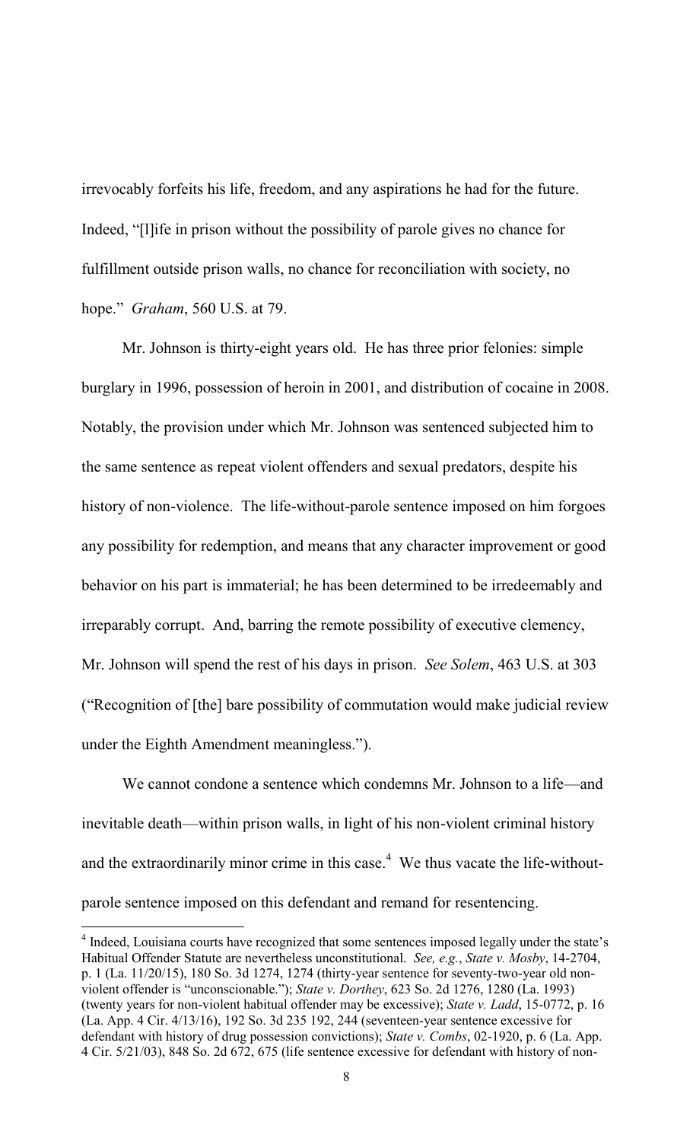irrevocably forfeits his life, freedom, and any aspirations he had for the future. Indeed, "[l]ife in prison without the possibility of parole gives no chance for fulfillment outside prison walls, no chance for reconciliation with society, no hope." *Graham*, 560 U.S. at 79.

Mr. Johnson is thirty-eight years old. He has three prior felonies: simple burglary in 1996, possession of heroin in 2001, and distribution of cocaine in 2008. Notably, the provision under which Mr. Johnson was sentenced subjected him to the same sentence as repeat violent offenders and sexual predators, despite his history of non-violence. The life-without-parole sentence imposed on him forgoes any possibility for redemption, and means that any character improvement or good behavior on his part is immaterial; he has been determined to be irredeemably and irreparably corrupt. And, barring the remote possibility of executive clemency, Mr. Johnson will spend the rest of his days in prison. *See Solem*, 463 U.S. at 303 ("Recognition of [the] bare possibility of commutation would make judicial review under the Eighth Amendment meaningless.").

We cannot condone a sentence which condemns Mr. Johnson to a life—and inevitable death—within prison walls, in light of his non-violent criminal history and the extraordinarily minor crime in this case.<sup>4</sup> We thus vacate the life-withoutparole sentence imposed on this defendant and remand for resentencing.

l

<sup>&</sup>lt;sup>4</sup> Indeed, Louisiana courts have recognized that some sentences imposed legally under the state's Habitual Offender Statute are nevertheless unconstitutional. *See, e.g.*, *State v. Mosby*, 14-2704, p. 1 (La. 11/20/15), 180 So. 3d 1274, 1274 (thirty-year sentence for seventy-two-year old nonviolent offender is "unconscionable."); *State v. Dorthey*, 623 So. 2d 1276, 1280 (La. 1993) (twenty years for non-violent habitual offender may be excessive); *State v. Ladd*, 15-0772, p. 16 (La. App. 4 Cir. 4/13/16), 192 So. 3d 235 192, 244 (seventeen-year sentence excessive for defendant with history of drug possession convictions); *State v. Combs*, 02-1920, p. 6 (La. App. 4 Cir. 5/21/03), 848 So. 2d 672, 675 (life sentence excessive for defendant with history of non-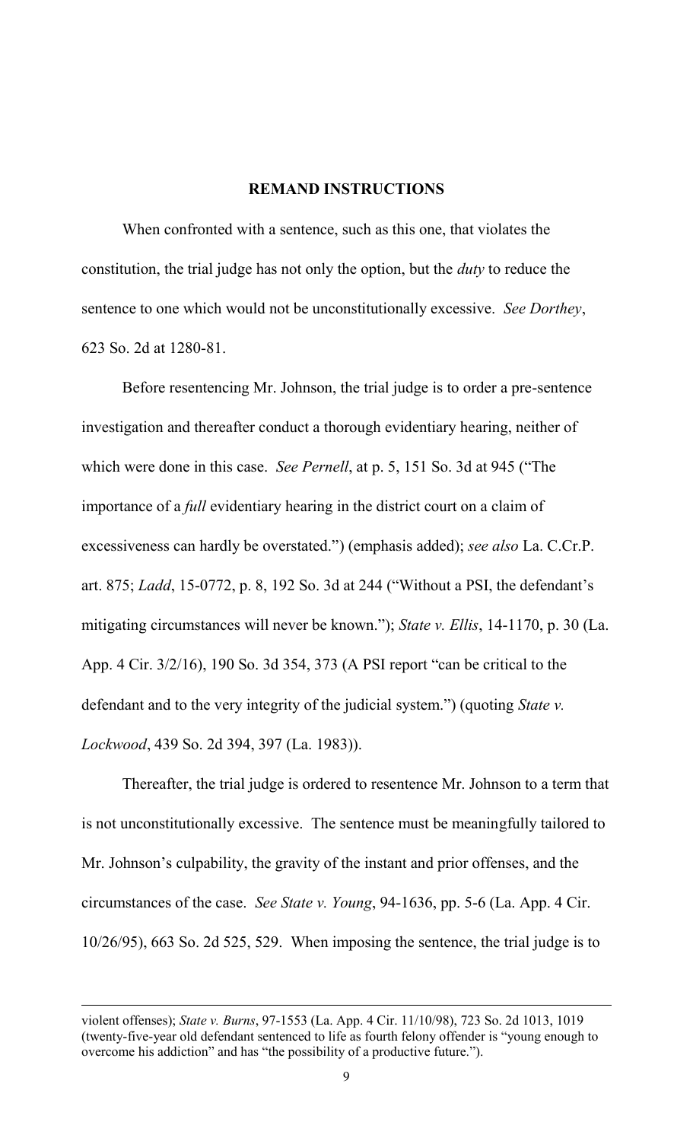## **REMAND INSTRUCTIONS**

When confronted with a sentence, such as this one, that violates the constitution, the trial judge has not only the option, but the *duty* to reduce the sentence to one which would not be unconstitutionally excessive. *See Dorthey*, 623 So. 2d at 1280-81.

Before resentencing Mr. Johnson, the trial judge is to order a pre-sentence investigation and thereafter conduct a thorough evidentiary hearing, neither of which were done in this case. *See Pernell*, at p. 5, 151 So. 3d at 945 ("The importance of a *full* evidentiary hearing in the district court on a claim of excessiveness can hardly be overstated.") (emphasis added); *see also* La. C.Cr.P. art. 875; *Ladd*, 15-0772, p. 8, 192 So. 3d at 244 ("Without a PSI, the defendant"s mitigating circumstances will never be known."); *State v. Ellis*, 14-1170, p. 30 (La. App. 4 Cir. 3/2/16), 190 So. 3d 354, 373 (A PSI report "can be critical to the defendant and to the very integrity of the judicial system.") (quoting *State v. Lockwood*, 439 So. 2d 394, 397 (La. 1983)).

Thereafter, the trial judge is ordered to resentence Mr. Johnson to a term that is not unconstitutionally excessive. The sentence must be meaningfully tailored to Mr. Johnson"s culpability, the gravity of the instant and prior offenses, and the circumstances of the case. *See State v. Young*, 94-1636, pp. 5-6 (La. App. 4 Cir. 10/26/95), 663 So. 2d 525, 529. When imposing the sentence, the trial judge is to

l

violent offenses); *State v. Burns*, 97-1553 (La. App. 4 Cir. 11/10/98), 723 So. 2d 1013, 1019 (twenty-five-year old defendant sentenced to life as fourth felony offender is "young enough to overcome his addiction" and has "the possibility of a productive future.").